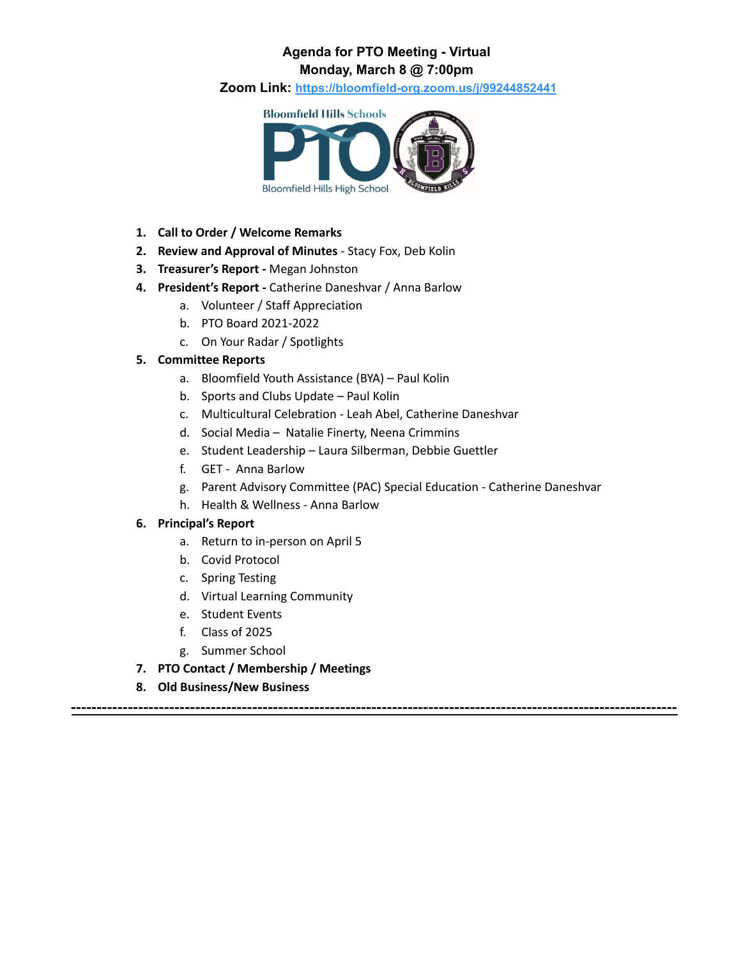### **Agenda for PTO Meeting - Virtual Monday, March 8 @ 7:00pm**

**Zoom Link: <https://bloomfield-org.zoom.us/j/99244852441>**



- **1. Call to Order / Welcome Remarks**
- **2. Review and Approval of Minutes** Stacy Fox, Deb Kolin
- **3. Treasurer's Report -** Megan Johnston
- **4. President's Report -** Catherine Daneshvar / Anna Barlow
	- a. Volunteer / Staff Appreciation
	- b. PTO Board 2021-2022
	- c. On Your Radar / Spotlights

#### **5. Committee Reports**

- a. Bloomfield Youth Assistance (BYA) Paul Kolin
- b. Sports and Clubs Update Paul Kolin
- c. Multicultural Celebration Leah Abel, Catherine Daneshvar
- d. Social Media Natalie Finerty, Neena Crimmins
- e. Student Leadership Laura Silberman, Debbie Guettler
- f. GET Anna Barlow
- g. Parent Advisory Committee (PAC) Special Education Catherine Daneshvar

**---------------------------------------------------------------------------------------------------------------------**

h. Health & Wellness - Anna Barlow

#### **6. Principal's Report**

- a. Return to in-person on April 5
- b. Covid Protocol
- c. Spring Testing
- d. Virtual Learning Community
- e. Student Events
- f. Class of 2025
- g. Summer School
- **7. PTO Contact / Membership / Meetings**
- **8. Old Business/New Business**